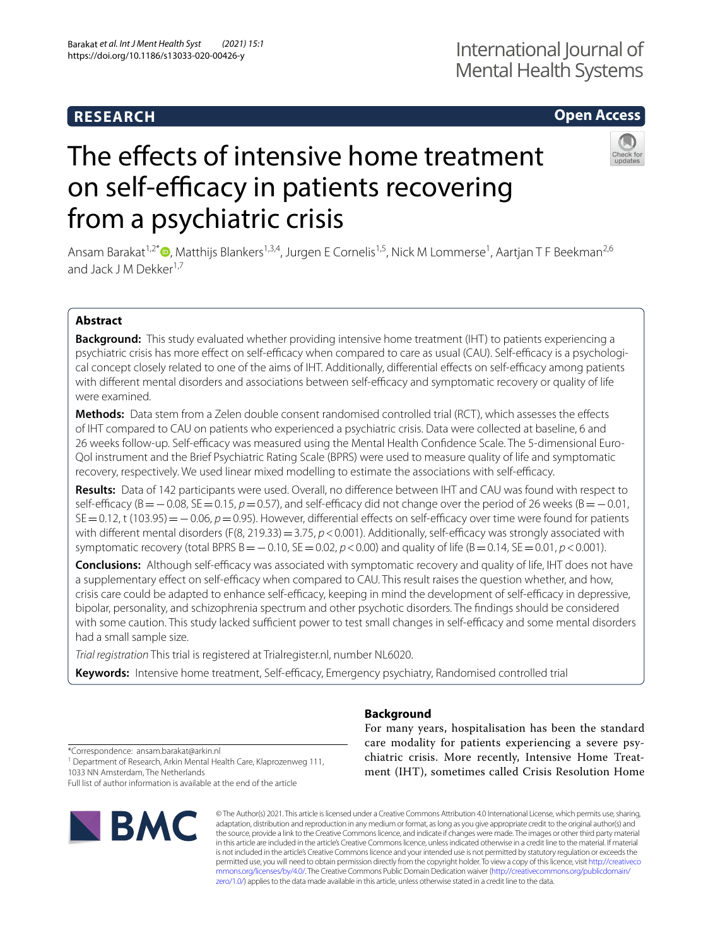# **RESEARCH**

# **Open Access**

# The effects of intensive home treatment on self-efficacy in patients recovering from a psychiatric crisis



Ansam Barakat<sup>1[,](http://orcid.org/0000-0002-5947-5110)2\*</sup>®, Matthijs Blankers<sup>1,3,4</sup>, Jurgen E Cornelis<sup>1,5</sup>, Nick M Lommerse<sup>1</sup>, Aartjan T F Beekman<sup>2,6</sup> and Jack J M Dekker<sup>1,7</sup>

# **Abstract**

**Background:** This study evaluated whether providing intensive home treatment (IHT) to patients experiencing a psychiatric crisis has more effect on self-efficacy when compared to care as usual (CAU). Self-efficacy is a psychological concept closely related to one of the aims of IHT. Additionally, differential effects on self-efficacy among patients with different mental disorders and associations between self-efficacy and symptomatic recovery or quality of life were examined.

**Methods:** Data stem from a Zelen double consent randomised controlled trial (RCT), which assesses the effects of IHT compared to CAU on patients who experienced a psychiatric crisis. Data were collected at baseline, 6 and 26 weeks follow-up. Self-efcacy was measured using the Mental Health Confdence Scale. The 5-dimensional Euro-Qol instrument and the Brief Psychiatric Rating Scale (BPRS) were used to measure quality of life and symptomatic recovery, respectively. We used linear mixed modelling to estimate the associations with self-efficacy.

**Results:** Data of 142 participants were used. Overall, no diference between IHT and CAU was found with respect to self-efficacy (B=−0.08, SE=0.15, *p*=0.57), and self-efficacy did not change over the period of 26 weeks (B=−0.01, SE = 0.12, t (103.95) = − 0.06, *p* = 0.95). However, differential effects on self-efficacy over time were found for patients with different mental disorders (F(8, 219.33) = 3.75, *p* < 0.001). Additionally, self-efficacy was strongly associated with symptomatic recovery (total BPRS B = − 0.10, SE = 0.02, *p* < 0.00) and quality of life (B = 0.14, SE = 0.01, *p* < 0.001).

**Conclusions:** Although self-efcacy was associated with symptomatic recovery and quality of life, IHT does not have a supplementary effect on self-efficacy when compared to CAU. This result raises the question whether, and how, crisis care could be adapted to enhance self-efficacy, keeping in mind the development of self-efficacy in depressive, bipolar, personality, and schizophrenia spectrum and other psychotic disorders. The fndings should be considered with some caution. This study lacked sufficient power to test small changes in self-efficacy and some mental disorders had a small sample size.

*Trial registration* This trial is registered at Trialregister.nl, number NL6020.

Keywords: Intensive home treatment, Self-efficacy, Emergency psychiatry, Randomised controlled trial

# **Background**

For many years, hospitalisation has been the standard care modality for patients experiencing a severe psychiatric crisis. More recently, Intensive Home Treatment (IHT), sometimes called Crisis Resolution Home

\*Correspondence: ansam.barakat@arkin.nl

<sup>1</sup> Department of Research, Arkin Mental Health Care, Klaprozenweg 111, 1033 NN Amsterdam, The Netherlands

Full list of author information is available at the end of the article



© The Author(s) 2021. This article is licensed under a Creative Commons Attribution 4.0 International License, which permits use, sharing, adaptation, distribution and reproduction in any medium or format, as long as you give appropriate credit to the original author(s) and the source, provide a link to the Creative Commons licence, and indicate if changes were made. The images or other third party material in this article are included in the article's Creative Commons licence, unless indicated otherwise in a credit line to the material. If material is not included in the article's Creative Commons licence and your intended use is not permitted by statutory regulation or exceeds the permitted use, you will need to obtain permission directly from the copyright holder. To view a copy of this licence, visit [http://creativeco](http://creativecommons.org/licenses/by/4.0/) [mmons.org/licenses/by/4.0/.](http://creativecommons.org/licenses/by/4.0/) The Creative Commons Public Domain Dedication waiver ([http://creativecommons.org/publicdomain/](http://creativecommons.org/publicdomain/zero/1.0/) [zero/1.0/\)](http://creativecommons.org/publicdomain/zero/1.0/) applies to the data made available in this article, unless otherwise stated in a credit line to the data.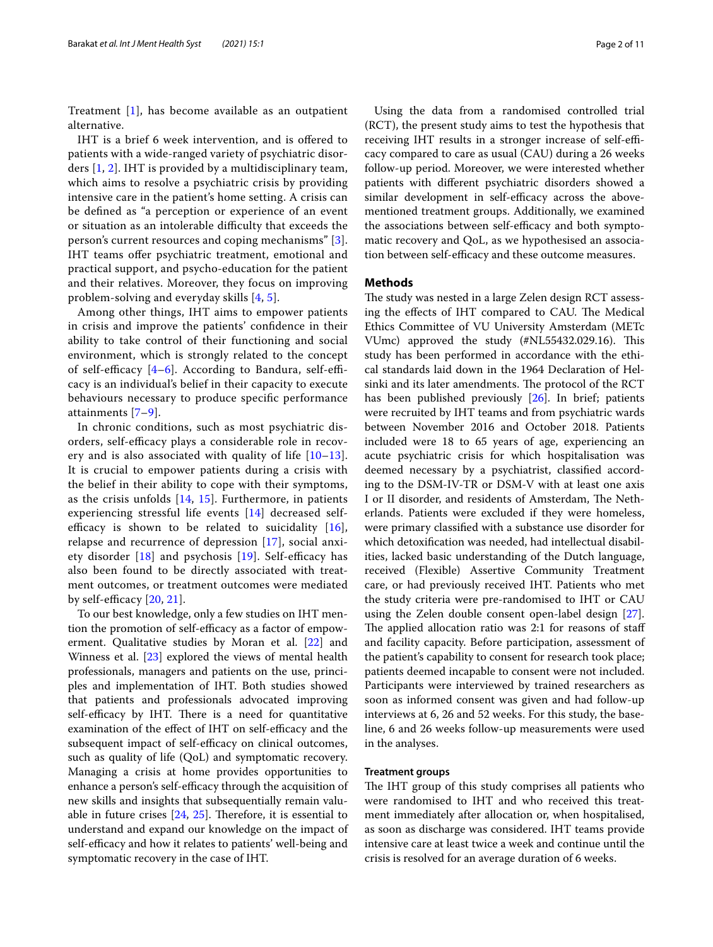Treatment [[1\]](#page-9-0), has become available as an outpatient alternative.

IHT is a brief 6 week intervention, and is ofered to patients with a wide-ranged variety of psychiatric disorders [\[1](#page-9-0), [2](#page-9-1)]. IHT is provided by a multidisciplinary team, which aims to resolve a psychiatric crisis by providing intensive care in the patient's home setting. A crisis can be defned as "a perception or experience of an event or situation as an intolerable difficulty that exceeds the person's current resources and coping mechanisms" [[3\]](#page-9-2). IHT teams ofer psychiatric treatment, emotional and practical support, and psycho-education for the patient and their relatives. Moreover, they focus on improving problem-solving and everyday skills [\[4](#page-9-3), [5](#page-9-4)].

Among other things, IHT aims to empower patients in crisis and improve the patients' confdence in their ability to take control of their functioning and social environment, which is strongly related to the concept of self-efficacy  $[4-6]$  $[4-6]$ . According to Bandura, self-efficacy is an individual's belief in their capacity to execute behaviours necessary to produce specifc performance attainments [[7–](#page-9-6)[9\]](#page-9-7).

In chronic conditions, such as most psychiatric disorders, self-efficacy plays a considerable role in recovery and is also associated with quality of life  $[10-13]$  $[10-13]$ . It is crucial to empower patients during a crisis with the belief in their ability to cope with their symptoms, as the crisis unfolds [[14,](#page-9-10) [15\]](#page-9-11). Furthermore, in patients experiencing stressful life events [[14\]](#page-9-10) decreased selfefficacy is shown to be related to suicidality  $[16]$  $[16]$ , relapse and recurrence of depression [\[17](#page-9-13)], social anxiety disorder  $[18]$  $[18]$  and psychosis  $[19]$ . Self-efficacy has also been found to be directly associated with treatment outcomes, or treatment outcomes were mediated by self-efficacy  $[20, 21]$  $[20, 21]$ .

To our best knowledge, only a few studies on IHT mention the promotion of self-efficacy as a factor of empowerment. Qualitative studies by Moran et al. [\[22\]](#page-9-18) and Winness et al. [[23\]](#page-9-19) explored the views of mental health professionals, managers and patients on the use, principles and implementation of IHT. Both studies showed that patients and professionals advocated improving self-efficacy by IHT. There is a need for quantitative examination of the effect of IHT on self-efficacy and the subsequent impact of self-efficacy on clinical outcomes, such as quality of life (QoL) and symptomatic recovery. Managing a crisis at home provides opportunities to enhance a person's self-efficacy through the acquisition of new skills and insights that subsequentially remain valuable in future crises  $[24, 25]$  $[24, 25]$  $[24, 25]$  $[24, 25]$  $[24, 25]$ . Therefore, it is essential to understand and expand our knowledge on the impact of self-efficacy and how it relates to patients' well-being and symptomatic recovery in the case of IHT.

Using the data from a randomised controlled trial (RCT), the present study aims to test the hypothesis that receiving IHT results in a stronger increase of self-efficacy compared to care as usual (CAU) during a 26 weeks follow-up period. Moreover, we were interested whether patients with diferent psychiatric disorders showed a similar development in self-efficacy across the abovementioned treatment groups. Additionally, we examined the associations between self-efficacy and both symptomatic recovery and QoL, as we hypothesised an association between self-efficacy and these outcome measures.

## **Methods**

The study was nested in a large Zelen design RCT assessing the effects of IHT compared to CAU. The Medical Ethics Committee of VU University Amsterdam (METc VUmc) approved the study (#NL55432.029.16). This study has been performed in accordance with the ethical standards laid down in the 1964 Declaration of Helsinki and its later amendments. The protocol of the RCT has been published previously [[26](#page-9-22)]. In brief; patients were recruited by IHT teams and from psychiatric wards between November 2016 and October 2018. Patients included were 18 to 65 years of age, experiencing an acute psychiatric crisis for which hospitalisation was deemed necessary by a psychiatrist, classifed according to the DSM-IV-TR or DSM-V with at least one axis I or II disorder, and residents of Amsterdam, The Netherlands. Patients were excluded if they were homeless, were primary classifed with a substance use disorder for which detoxifcation was needed, had intellectual disabilities, lacked basic understanding of the Dutch language, received (Flexible) Assertive Community Treatment care, or had previously received IHT. Patients who met the study criteria were pre-randomised to IHT or CAU using the Zelen double consent open-label design [\[27](#page-9-23)]. The applied allocation ratio was  $2:1$  for reasons of staff and facility capacity. Before participation, assessment of the patient's capability to consent for research took place; patients deemed incapable to consent were not included. Participants were interviewed by trained researchers as soon as informed consent was given and had follow-up interviews at 6, 26 and 52 weeks. For this study, the baseline, 6 and 26 weeks follow-up measurements were used in the analyses.

#### **Treatment groups**

The IHT group of this study comprises all patients who were randomised to IHT and who received this treatment immediately after allocation or, when hospitalised, as soon as discharge was considered. IHT teams provide intensive care at least twice a week and continue until the crisis is resolved for an average duration of 6 weeks.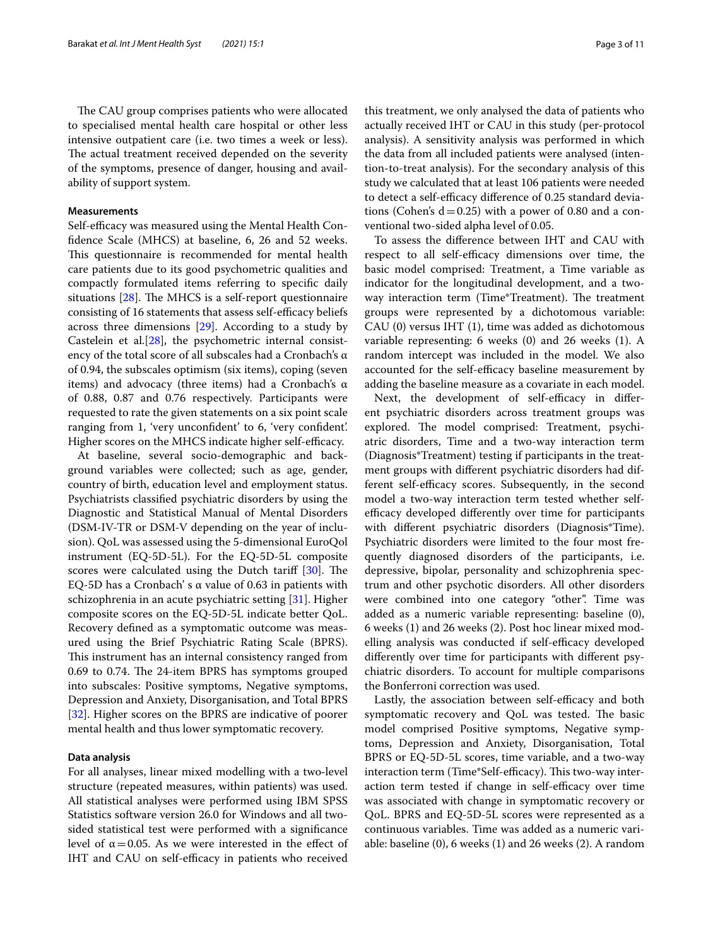The CAU group comprises patients who were allocated to specialised mental health care hospital or other less intensive outpatient care (i.e. two times a week or less). The actual treatment received depended on the severity of the symptoms, presence of danger, housing and availability of support system.

## **Measurements**

Self-efficacy was measured using the Mental Health Confdence Scale (MHCS) at baseline, 6, 26 and 52 weeks. This questionnaire is recommended for mental health care patients due to its good psychometric qualities and compactly formulated items referring to specifc daily situations  $[28]$  $[28]$  $[28]$ . The MHCS is a self-report questionnaire consisting of 16 statements that assess self-efficacy beliefs across three dimensions [[29](#page-10-1)]. According to a study by Castelein et al. $[28]$  $[28]$ , the psychometric internal consistency of the total score of all subscales had a Cronbach's α of 0.94, the subscales optimism (six items), coping (seven items) and advocacy (three items) had a Cronbach's  $α$ of 0.88, 0.87 and 0.76 respectively. Participants were requested to rate the given statements on a six point scale ranging from 1, 'very unconfdent' to 6, 'very confdent'. Higher scores on the MHCS indicate higher self-efficacy.

At baseline, several socio-demographic and background variables were collected; such as age, gender, country of birth, education level and employment status. Psychiatrists classifed psychiatric disorders by using the Diagnostic and Statistical Manual of Mental Disorders (DSM-IV-TR or DSM-V depending on the year of inclusion). QoL was assessed using the 5-dimensional EuroQol instrument (EQ-5D-5L). For the EQ-5D-5L composite scores were calculated using the Dutch tariff  $[30]$  $[30]$ . The EQ-5D has a Cronbach' s  $\alpha$  value of 0.63 in patients with schizophrenia in an acute psychiatric setting [\[31](#page-10-3)]. Higher composite scores on the EQ-5D-5L indicate better QoL. Recovery defned as a symptomatic outcome was measured using the Brief Psychiatric Rating Scale (BPRS). This instrument has an internal consistency ranged from 0.69 to 0.74. The 24-item BPRS has symptoms grouped into subscales: Positive symptoms, Negative symptoms, Depression and Anxiety, Disorganisation, and Total BPRS [[32\]](#page-10-4). Higher scores on the BPRS are indicative of poorer mental health and thus lower symptomatic recovery.

## **Data analysis**

For all analyses, linear mixed modelling with a two‐level structure (repeated measures, within patients) was used. All statistical analyses were performed using IBM SPSS Statistics software version 26.0 for Windows and all twosided statistical test were performed with a signifcance level of  $α=0.05$ . As we were interested in the effect of IHT and CAU on self-efficacy in patients who received this treatment, we only analysed the data of patients who actually received IHT or CAU in this study (per-protocol analysis). A sensitivity analysis was performed in which the data from all included patients were analysed (intention-to-treat analysis). For the secondary analysis of this study we calculated that at least 106 patients were needed to detect a self-efficacy difference of 0.25 standard deviations (Cohen's  $d=0.25$ ) with a power of 0.80 and a conventional two-sided alpha level of 0.05.

To assess the diference between IHT and CAU with respect to all self-efficacy dimensions over time, the basic model comprised: Treatment, a Time variable as indicator for the longitudinal development, and a twoway interaction term (Time\*Treatment). The treatment groups were represented by a dichotomous variable: CAU (0) versus IHT (1), time was added as dichotomous variable representing: 6 weeks (0) and 26 weeks (1). A random intercept was included in the model. We also accounted for the self-efficacy baseline measurement by adding the baseline measure as a covariate in each model.

Next, the development of self-efficacy in different psychiatric disorders across treatment groups was explored. The model comprised: Treatment, psychiatric disorders, Time and a two-way interaction term (Diagnosis\*Treatment) testing if participants in the treatment groups with diferent psychiatric disorders had different self-efficacy scores. Subsequently, in the second model a two-way interaction term tested whether selfefficacy developed differently over time for participants with diferent psychiatric disorders (Diagnosis\*Time). Psychiatric disorders were limited to the four most frequently diagnosed disorders of the participants, i.e. depressive, bipolar, personality and schizophrenia spectrum and other psychotic disorders. All other disorders were combined into one category "other". Time was added as a numeric variable representing: baseline (0), 6 weeks (1) and 26 weeks (2). Post hoc linear mixed modelling analysis was conducted if self-efficacy developed diferently over time for participants with diferent psychiatric disorders. To account for multiple comparisons the Bonferroni correction was used.

Lastly, the association between self-efficacy and both symptomatic recovery and QoL was tested. The basic model comprised Positive symptoms, Negative symptoms, Depression and Anxiety, Disorganisation, Total BPRS or EQ-5D-5L scores, time variable, and a two-way interaction term (Time\*Self-efficacy). This two-way interaction term tested if change in self-efficacy over time was associated with change in symptomatic recovery or QoL. BPRS and EQ-5D-5L scores were represented as a continuous variables. Time was added as a numeric variable: baseline (0), 6 weeks (1) and 26 weeks (2). A random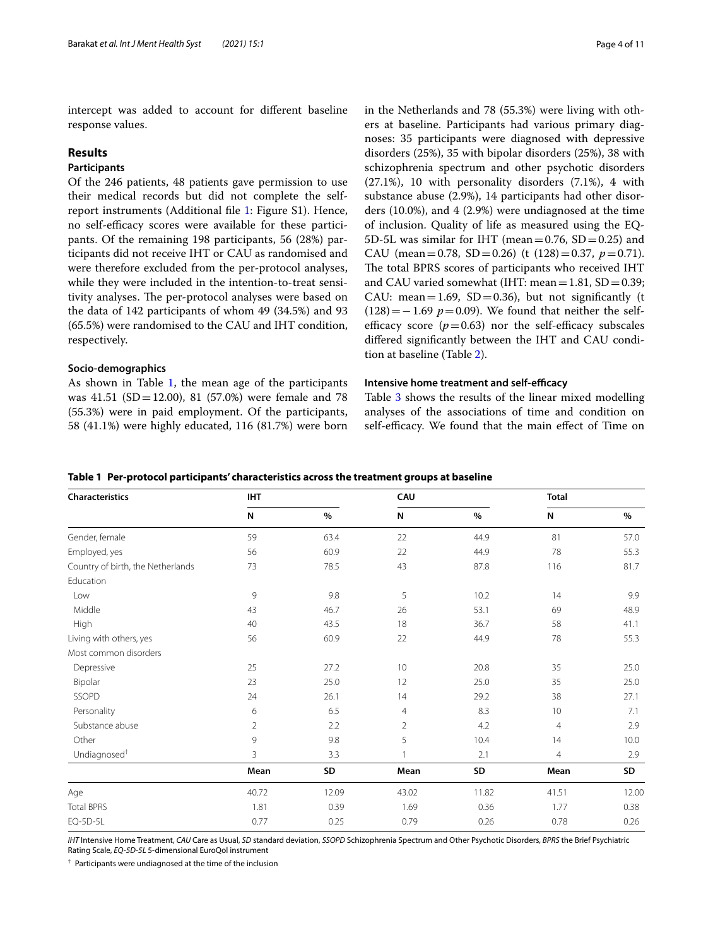intercept was added to account for diferent baseline response values.

## **Results**

## **Participants**

Of the 246 patients, 48 patients gave permission to use their medical records but did not complete the selfreport instruments (Additional fle [1](#page-8-0): Figure S1). Hence, no self-efficacy scores were available for these participants. Of the remaining 198 participants, 56 (28%) participants did not receive IHT or CAU as randomised and were therefore excluded from the per-protocol analyses, while they were included in the intention-to-treat sensitivity analyses. The per-protocol analyses were based on the data of 142 participants of whom 49 (34.5%) and 93 (65.5%) were randomised to the CAU and IHT condition, respectively.

## **Socio‑demographics**

As shown in Table [1](#page-3-0), the mean age of the participants was 41.51 (SD=12.00), 81 (57.0%) were female and 78 (55.3%) were in paid employment. Of the participants, 58 (41.1%) were highly educated, 116 (81.7%) were born in the Netherlands and 78 (55.3%) were living with others at baseline. Participants had various primary diagnoses: 35 participants were diagnosed with depressive disorders (25%), 35 with bipolar disorders (25%), 38 with schizophrenia spectrum and other psychotic disorders (27.1%), 10 with personality disorders (7.1%), 4 with substance abuse (2.9%), 14 participants had other disorders (10.0%), and 4 (2.9%) were undiagnosed at the time of inclusion. Quality of life as measured using the EQ-5D-5L was similar for IHT (mean=0.76,  $SD = 0.25$ ) and CAU (mean=0.78, SD=0.26) (t  $(128)$ =0.37,  $p$ =0.71). The total BPRS scores of participants who received IHT and CAU varied somewhat (IHT: mean  $=1.81$ , SD  $= 0.39$ ; CAU: mean=1.69, SD=0.36), but not significantly (t  $(128) = -1.69$  *p*=0.09). We found that neither the selfefficacy score  $(p=0.63)$  nor the self-efficacy subscales difered signifcantly between the IHT and CAU condition at baseline (Table [2\)](#page-4-0).

## **Intensive home treatment and self-efficacy**

Table [3](#page-5-0) shows the results of the linear mixed modelling analyses of the associations of time and condition on self-efficacy. We found that the main effect of Time on

<span id="page-3-0"></span>

| Characteristics                   | <b>IHT</b>     |       | CAU            |       | <b>Total</b>   |       |
|-----------------------------------|----------------|-------|----------------|-------|----------------|-------|
|                                   | N              | $\%$  | N              | $\%$  | N              | $\%$  |
| Gender, female                    | 59             | 63.4  | 22             | 44.9  | 81             | 57.0  |
| Employed, yes                     | 56             | 60.9  | 22             | 44.9  | 78             | 55.3  |
| Country of birth, the Netherlands | 73             | 78.5  | 43             | 87.8  | 116            | 81.7  |
| Education                         |                |       |                |       |                |       |
| Low                               | 9              | 9.8   | 5              | 10.2  | 14             | 9.9   |
| Middle                            | 43             | 46.7  | 26             | 53.1  | 69             | 48.9  |
| High                              | 40             | 43.5  | 18             | 36.7  | 58             | 41.1  |
| Living with others, yes           | 56             | 60.9  | 22             | 44.9  | 78             | 55.3  |
| Most common disorders             |                |       |                |       |                |       |
| Depressive                        | 25             | 27.2  | 10             | 20.8  | 35             | 25.0  |
| Bipolar                           | 23             | 25.0  | 12             | 25.0  | 35             | 25.0  |
| SSOPD                             | 24             | 26.1  | 14             | 29.2  | 38             | 27.1  |
| Personality                       | 6              | 6.5   | $\overline{4}$ | 8.3   | 10             | 7.1   |
| Substance abuse                   | $\overline{2}$ | 2.2   | $\overline{2}$ | 4.2   | $\overline{4}$ | 2.9   |
| Other                             | 9              | 9.8   | 5              | 10.4  | 14             | 10.0  |
| Undiagnosed <sup>+</sup>          | 3              | 3.3   | $\overline{1}$ | 2.1   | $\overline{4}$ | 2.9   |
|                                   | Mean           | SD    | Mean           | SD    | Mean           | SD    |
| Age                               | 40.72          | 12.09 | 43.02          | 11.82 | 41.51          | 12.00 |
| <b>Total BPRS</b>                 | 1.81           | 0.39  | 1.69           | 0.36  | 1.77           | 0.38  |
| EQ-5D-5L                          | 0.77           | 0.25  | 0.79           | 0.26  | 0.78           | 0.26  |

*IHT* Intensive Home Treatment, *CAU* Care as Usual, *SD* standard deviation, *SSOPD* Schizophrenia Spectrum and Other Psychotic Disorders, *BPRS* the Brief Psychiatric Rating Scale, *EQ-5D-5L* 5-dimensional EuroQol instrument

† Participants were undiagnosed at the time of the inclusion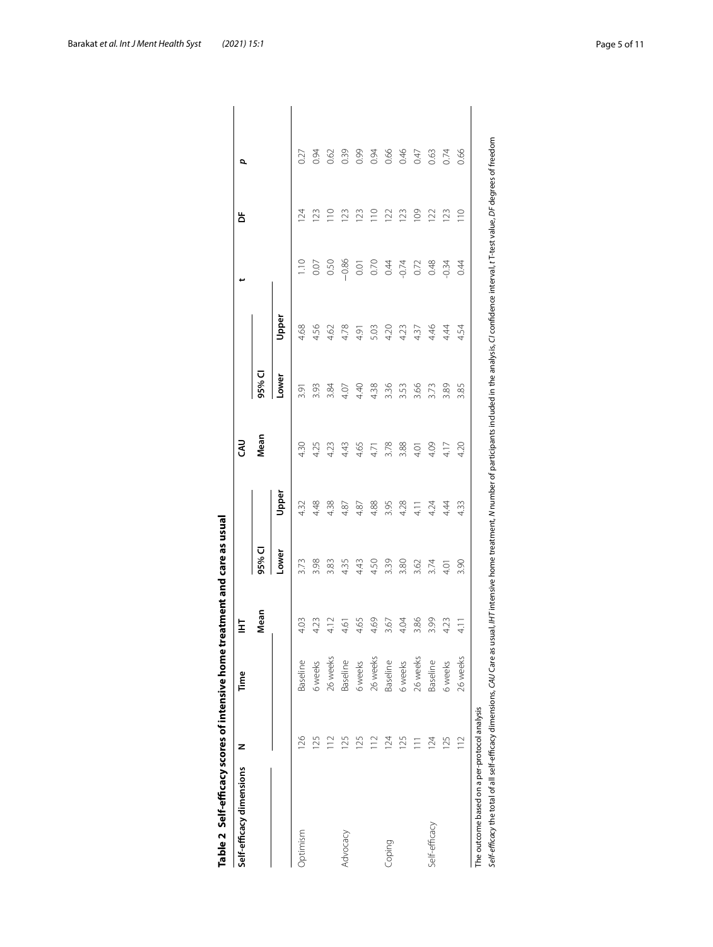| Self-efficacy dimensions | z              | Time     | 눌                        |       |       | ₹    |        |       |               | Ъ               | p    |
|--------------------------|----------------|----------|--------------------------|-------|-------|------|--------|-------|---------------|-----------------|------|
|                          |                |          | Mean                     | 95% C |       | Mean | 95% CI |       |               |                 |      |
|                          |                |          | $\overline{\phantom{a}}$ | Lower | Upper |      | Lower  | Upper |               |                 |      |
| Optimism                 | 126            | Baseline | 4.03                     | 3.73  | 4.32  | 4.30 | 3.91   | 4.68  | $\frac{1}{1}$ | 124             | 0.27 |
|                          | 125            | 6 weeks  | 4.23                     | 3.98  | 4.48  | 4.25 | 3.93   | 4.56  | 0.07          | $\overline{23}$ | 0.94 |
|                          | $\frac{1}{2}$  | 26 weeks | 4.12                     | 3.83  | 4.38  | 4.23 | 3.84   | 4.62  | 0.50          | $\frac{1}{10}$  | 0.62 |
| Advocacy                 | 125            | Baseline | 4.61                     | 4.35  | 4.87  | 4.43 | 4.07   | 4.78  | $-0.86$       | 123             | 0.39 |
|                          | 125            | 6 weeks  | 4.65                     | 4.43  | 4.87  | 4.65 | 4.40   | 4.91  | 0.01          | 123             | 0.99 |
|                          | $\frac{1}{2}$  | 26 weeks | 4.69                     | 4.50  | 4.88  | 4.71 | 4.38   | 5.03  | 0.70          | 110             | 0.94 |
| Coping                   | 124            | Baseline | 3.67                     | 3.39  | 3.95  | 3.78 | 3.36   | 4.20  | 0.44          | 122             | 0.66 |
|                          | 125            | 6 weeks  | 4.04                     | 3.80  | 4.28  | 3.88 | 3.53   | 4.23  | $-0.74$       | 123             | 0.46 |
|                          | $\overline{=}$ | 26 weeks | 3.86                     | 3.62  | 4.1   | 4.01 | 3.66   | 4.37  | 0.72          | 109             | 0.47 |
| Self-efficacy            | 124            | Baseline | 3.99                     | 3.74  | 4.24  | 4.09 | 3.73   | 4.46  | 0.48          | 122             | 0.63 |
|                          | 125            | 6 weeks  | 4.23                     | 4.01  | 4.44  | 4.17 | 3.89   | 4.44  | $-0.34$       | 123             | 0.74 |
|                          | $\geq$         | 26 weeks | $\frac{1}{4}$            | 3.90  | 4.33  | 4.20 | 3.85   | 4.54  | 0.44          | $\frac{1}{10}$  | 0.66 |

<span id="page-4-0"></span>

| i                    |
|----------------------|
|                      |
|                      |
| .<br>ا               |
|                      |
| j                    |
|                      |
|                      |
|                      |
|                      |
|                      |
|                      |
|                      |
|                      |
|                      |
|                      |
|                      |
|                      |
|                      |
|                      |
|                      |
|                      |
|                      |
|                      |
| <b>CALC NO.</b><br>ŗ |
|                      |
|                      |
|                      |
|                      |
|                      |
|                      |
|                      |
|                      |
|                      |
|                      |
|                      |
|                      |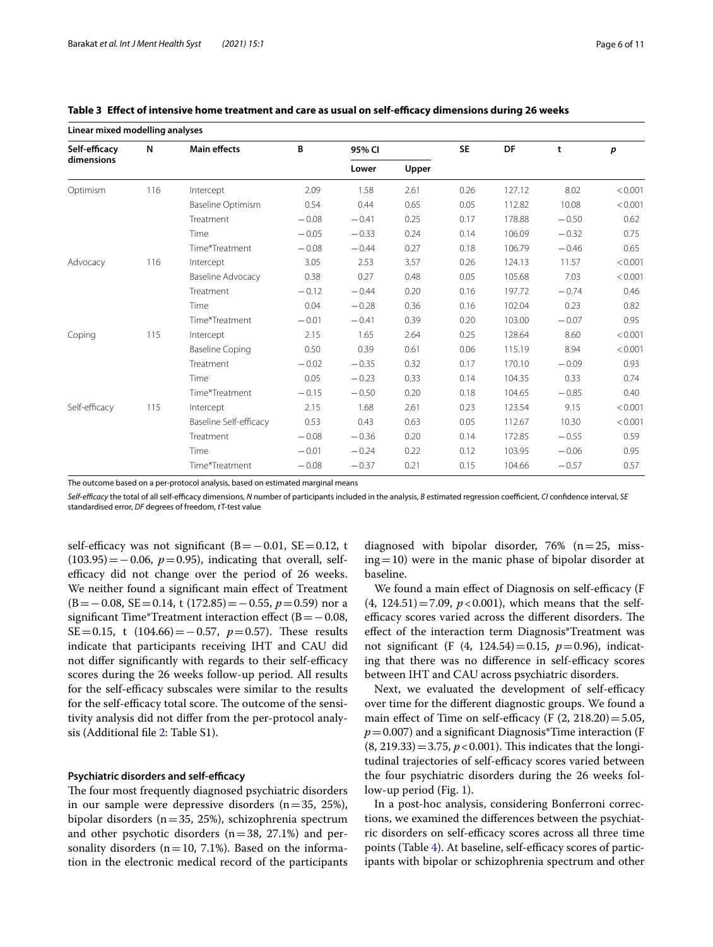| Linear mixed modelling analyses |     |                          |         |         |       |           |        |         |         |
|---------------------------------|-----|--------------------------|---------|---------|-------|-----------|--------|---------|---------|
| Self-efficacy                   | N   | <b>Main effects</b>      | B       | 95% CI  |       | <b>SE</b> | DF     | t       | p       |
| dimensions                      |     |                          |         | Lower   | Upper |           |        |         |         |
| Optimism                        | 116 | Intercept                | 2.09    | 1.58    | 2.61  | 0.26      | 127.12 | 8.02    | < 0.001 |
|                                 |     | <b>Baseline Optimism</b> | 0.54    | 0.44    | 0.65  | 0.05      | 112.82 | 10.08   | < 0.001 |
|                                 |     | Treatment                | $-0.08$ | $-0.41$ | 0.25  | 0.17      | 178.88 | $-0.50$ | 0.62    |
|                                 |     | Time                     | $-0.05$ | $-0.33$ | 0.24  | 0.14      | 106.09 | $-0.32$ | 0.75    |
|                                 |     | Time*Treatment           | $-0.08$ | $-0.44$ | 0.27  | 0.18      | 106.79 | $-0.46$ | 0.65    |
| Advocacy                        | 116 | Intercept                | 3.05    | 2.53    | 3.57  | 0.26      | 124.13 | 11.57   | < 0.001 |
|                                 |     | <b>Baseline Advocacy</b> | 0.38    | 0.27    | 0.48  | 0.05      | 105.68 | 7.03    | < 0.001 |
|                                 |     | Treatment                | $-0.12$ | $-0.44$ | 0.20  | 0.16      | 197.72 | $-0.74$ | 0.46    |
|                                 |     | Time                     | 0.04    | $-0.28$ | 0.36  | 0.16      | 102.04 | 0.23    | 0.82    |
|                                 |     | Time*Treatment           | $-0.01$ | $-0.41$ | 0.39  | 0.20      | 103.00 | $-0.07$ | 0.95    |
| Coping                          | 115 | Intercept                | 2.15    | 1.65    | 2.64  | 0.25      | 128.64 | 8.60    | < 0.001 |
|                                 |     | <b>Baseline Coping</b>   | 0.50    | 0.39    | 0.61  | 0.06      | 115.19 | 8.94    | < 0.001 |
|                                 |     | Treatment                | $-0.02$ | $-0.35$ | 0.32  | 0.17      | 170.10 | $-0.09$ | 0.93    |
|                                 |     | Time                     | 0.05    | $-0.23$ | 0.33  | 0.14      | 104.35 | 0.33    | 0.74    |
|                                 |     | Time*Treatment           | $-0.15$ | $-0.50$ | 0.20  | 0.18      | 104.65 | $-0.85$ | 0.40    |
| Self-efficacy                   | 115 | Intercept                | 2.15    | 1.68    | 2.61  | 0.23      | 123.54 | 9.15    | < 0.001 |
|                                 |     | Baseline Self-efficacy   | 0.53    | 0.43    | 0.63  | 0.05      | 112.67 | 10.30   | < 0.001 |
|                                 |     | Treatment                | $-0.08$ | $-0.36$ | 0.20  | 0.14      | 172.85 | $-0.55$ | 0.59    |
|                                 |     | Time                     | $-0.01$ | $-0.24$ | 0.22  | 0.12      | 103.95 | $-0.06$ | 0.95    |
|                                 |     | Time*Treatment           | $-0.08$ | $-0.37$ | 0.21  | 0.15      | 104.66 | $-0.57$ | 0.57    |

<span id="page-5-0"></span>

| Table 3 Effect of intensive home treatment and care as usual on self-efficacy dimensions during 26 weeks |  |  |  |  |  |  |  |  |
|----------------------------------------------------------------------------------------------------------|--|--|--|--|--|--|--|--|
|----------------------------------------------------------------------------------------------------------|--|--|--|--|--|--|--|--|

The outcome based on a per-protocol analysis, based on estimated marginal means

*Self-efcacy* the total of all self-efcacy dimensions, *N* number of participants included in the analysis, *B* estimated regression coefcient, *CI* confdence interval, *SE* standardised error, *DF* degrees of freedom, *t*T-test value

self-efficacy was not significant  $(B=-0.01, SE=0.12, t$  $(103.95) = -0.06$ ,  $p = 0.95$ ), indicating that overall, selfefficacy did not change over the period of 26 weeks. We neither found a signifcant main efect of Treatment (B=−0.08, SE=0.14, t (172.85)=−0.55, *p*=0.59) nor a significant Time\*Treatment interaction effect ( $B = -0.08$ , SE=0.15, t (104.66) = −0.57, *p* = 0.57). These results indicate that participants receiving IHT and CAU did not differ significantly with regards to their self-efficacy scores during the 26 weeks follow-up period. All results for the self-efficacy subscales were similar to the results for the self-efficacy total score. The outcome of the sensitivity analysis did not difer from the per-protocol analysis (Additional fle [2:](#page-8-1) Table S1).

## **Psychiatric disorders and self-efficacy**

The four most frequently diagnosed psychiatric disorders in our sample were depressive disorders  $(n=35, 25\%)$ , bipolar disorders (n=35, 25%), schizophrenia spectrum and other psychotic disorders  $(n=38, 27.1%)$  and personality disorders ( $n=10$ , 7.1%). Based on the information in the electronic medical record of the participants

diagnosed with bipolar disorder, 76%  $(n=25, \text{miss-})$ ing=10) were in the manic phase of bipolar disorder at baseline.

We found a main effect of Diagnosis on self-efficacy (F  $(4, 124.51) = 7.09$ ,  $p < 0.001$ ), which means that the selfefficacy scores varied across the different disorders. The efect of the interaction term Diagnosis\*Treatment was not signifcant (F (4, 124.54)=0.15, *p*=0.96), indicating that there was no difference in self-efficacy scores between IHT and CAU across psychiatric disorders.

Next, we evaluated the development of self-efficacy over time for the diferent diagnostic groups. We found a main effect of Time on self-efficacy (F  $(2, 218.20) = 5.05$ ,  $p=0.007$ ) and a significant Diagnosis<sup>\*</sup>Time interaction (F  $(8, 219.33) = 3.75, p < 0.001$ . This indicates that the longitudinal trajectories of self-efficacy scores varied between the four psychiatric disorders during the 26 weeks follow-up period (Fig. [1\)](#page-6-0).

In a post-hoc analysis, considering Bonferroni corrections, we examined the diferences between the psychiatric disorders on self-efficacy scores across all three time points (Table [4](#page-6-1)). At baseline, self-efficacy scores of participants with bipolar or schizophrenia spectrum and other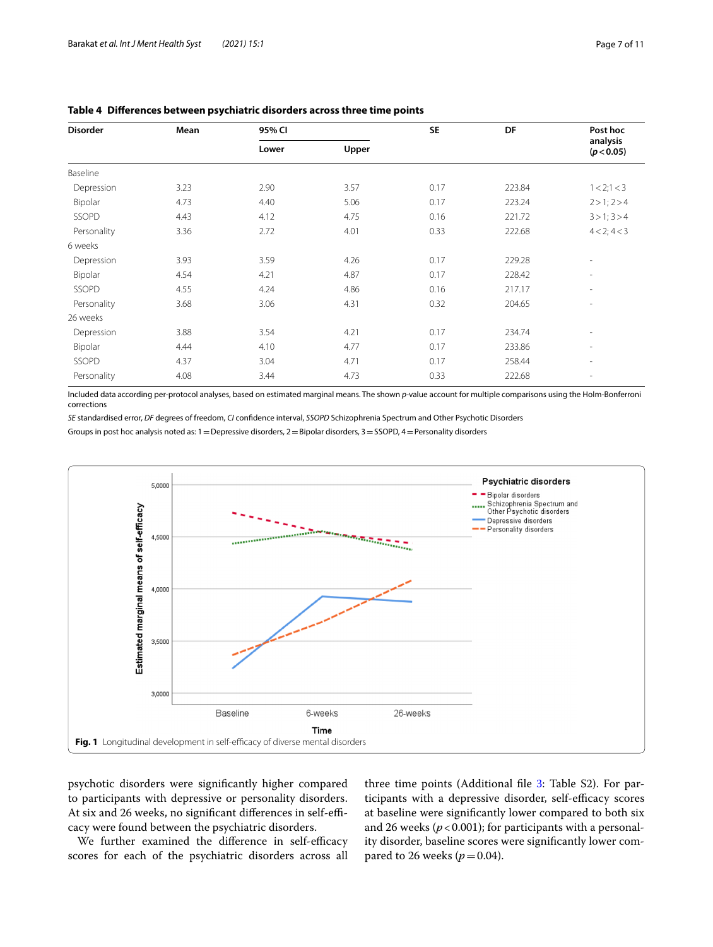| Mean | 95% CI |       | <b>SE</b> | DF     | Post hoc                 |
|------|--------|-------|-----------|--------|--------------------------|
|      | Lower  | Upper |           |        | analysis<br>(p < 0.05)   |
|      |        |       |           |        |                          |
| 3.23 | 2.90   | 3.57  | 0.17      | 223.84 | 1 < 2; 1 < 3             |
| 4.73 | 4.40   | 5.06  | 0.17      | 223.24 | $2 > 1$ ; $2 > 4$        |
| 4.43 | 4.12   | 4.75  | 0.16      | 221.72 | $3 > 1$ ; $3 > 4$        |
| 3.36 | 2.72   | 4.01  | 0.33      | 222.68 | 4 < 2; 4 < 3             |
|      |        |       |           |        |                          |
| 3.93 | 3.59   | 4.26  | 0.17      | 229.28 | $\overline{\phantom{a}}$ |
| 4.54 | 4.21   | 4.87  | 0.17      | 228.42 | $\overline{\phantom{a}}$ |
| 4.55 | 4.24   | 4.86  | 0.16      | 217.17 | $\overline{\phantom{a}}$ |
| 3.68 | 3.06   | 4.31  | 0.32      | 204.65 | $\overline{\phantom{a}}$ |
|      |        |       |           |        |                          |
| 3.88 | 3.54   | 4.21  | 0.17      | 234.74 | $\overline{\phantom{a}}$ |
| 4.44 | 4.10   | 4.77  | 0.17      | 233.86 | $\overline{\phantom{a}}$ |
| 4.37 | 3.04   | 4.71  | 0.17      | 258.44 | $\overline{\phantom{a}}$ |
| 4.08 | 3.44   | 4.73  | 0.33      | 222.68 | $\overline{\phantom{a}}$ |
|      |        |       |           |        |                          |

## <span id="page-6-1"></span>**Table 4 Diferences between psychiatric disorders across three time points**

Included data according per-protocol analyses, based on estimated marginal means. The shown *p*-value account for multiple comparisons using the Holm-Bonferroni corrections

*SE* standardised error, *DF* degrees of freedom, *CI* confdence interval, *SSOPD* Schizophrenia Spectrum and Other Psychotic Disorders

Groups in post hoc analysis noted as:  $1$  = Depressive disorders,  $2$  = Bipolar disorders,  $3$  = SSOPD,  $4$  = Personality disorders



<span id="page-6-0"></span>psychotic disorders were signifcantly higher compared to participants with depressive or personality disorders. At six and 26 weeks, no significant differences in self-efficacy were found between the psychiatric disorders.

We further examined the difference in self-efficacy scores for each of the psychiatric disorders across all three time points (Additional file [3](#page-8-2): Table S2). For participants with a depressive disorder, self-efficacy scores at baseline were signifcantly lower compared to both six and 26 weeks  $(p < 0.001)$ ; for participants with a personality disorder, baseline scores were signifcantly lower compared to 26 weeks ( $p = 0.04$ ).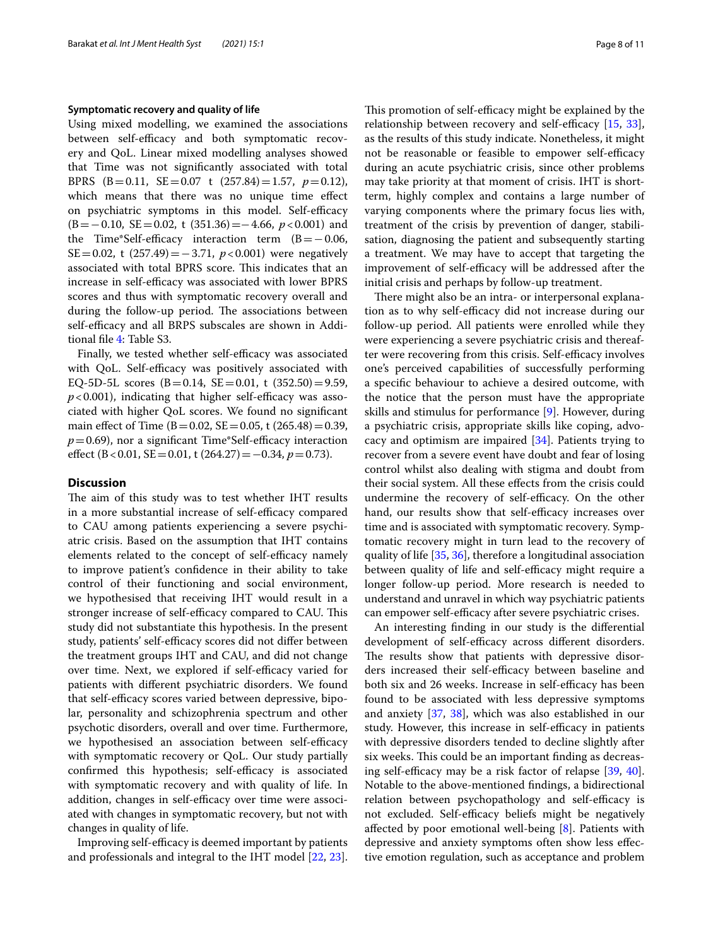### **Symptomatic recovery and quality of life**

Using mixed modelling, we examined the associations between self-efficacy and both symptomatic recovery and QoL. Linear mixed modelling analyses showed that Time was not signifcantly associated with total BPRS (B=0.11, SE=0.07 t (257.84)=1.57, *p*=0.12), which means that there was no unique time efect on psychiatric symptoms in this model. Self-efficacy (B=−0.10, SE=0.02, t (351.36)=−4.66, *p*<0.001) and the Time\*Self-efficacy interaction term  $(B = -0.06,$ SE=0.02, t (257.49)=−3.71, *p*<0.001) were negatively associated with total BPRS score. This indicates that an increase in self-efficacy was associated with lower BPRS scores and thus with symptomatic recovery overall and during the follow-up period. The associations between self-efficacy and all BRPS subscales are shown in Additional fle [4](#page-8-3): Table S3.

Finally, we tested whether self-efficacy was associated with QoL. Self-efficacy was positively associated with EQ-5D-5L scores (B=0.14, SE=0.01, t  $(352.50) = 9.59$ ,  $p$ <0.001), indicating that higher self-efficacy was associated with higher QoL scores. We found no signifcant main effect of Time (B = 0.02, SE = 0.05, t (265.48) = 0.39,  $p=0.69$ ), nor a significant Time\*Self-efficacy interaction efect (B<0.01, SE=0.01, t (264.27)=−0.34, *p*=0.73).

## **Discussion**

The aim of this study was to test whether IHT results in a more substantial increase of self-efficacy compared to CAU among patients experiencing a severe psychiatric crisis. Based on the assumption that IHT contains elements related to the concept of self-efficacy namely to improve patient's confdence in their ability to take control of their functioning and social environment, we hypothesised that receiving IHT would result in a stronger increase of self-efficacy compared to CAU. This study did not substantiate this hypothesis. In the present study, patients' self-efficacy scores did not differ between the treatment groups IHT and CAU, and did not change over time. Next, we explored if self-efficacy varied for patients with diferent psychiatric disorders. We found that self-efficacy scores varied between depressive, bipolar, personality and schizophrenia spectrum and other psychotic disorders, overall and over time. Furthermore, we hypothesised an association between self-efficacy with symptomatic recovery or QoL. Our study partially confirmed this hypothesis; self-efficacy is associated with symptomatic recovery and with quality of life. In addition, changes in self-efficacy over time were associated with changes in symptomatic recovery, but not with changes in quality of life.

Improving self-efficacy is deemed important by patients and professionals and integral to the IHT model [[22](#page-9-18), [23](#page-9-19)]. This promotion of self-efficacy might be explained by the relationship between recovery and self-efficacy  $[15, 33]$  $[15, 33]$  $[15, 33]$  $[15, 33]$  $[15, 33]$ , as the results of this study indicate. Nonetheless, it might not be reasonable or feasible to empower self-efficacy during an acute psychiatric crisis, since other problems may take priority at that moment of crisis. IHT is shortterm, highly complex and contains a large number of varying components where the primary focus lies with, treatment of the crisis by prevention of danger, stabilisation, diagnosing the patient and subsequently starting a treatment. We may have to accept that targeting the improvement of self-efficacy will be addressed after the initial crisis and perhaps by follow-up treatment.

There might also be an intra- or interpersonal explanation as to why self-efficacy did not increase during our follow-up period. All patients were enrolled while they were experiencing a severe psychiatric crisis and thereafter were recovering from this crisis. Self-efficacy involves one's perceived capabilities of successfully performing a specifc behaviour to achieve a desired outcome, with the notice that the person must have the appropriate skills and stimulus for performance [[9\]](#page-9-7). However, during a psychiatric crisis, appropriate skills like coping, advocacy and optimism are impaired [\[34\]](#page-10-6). Patients trying to recover from a severe event have doubt and fear of losing control whilst also dealing with stigma and doubt from their social system. All these efects from the crisis could undermine the recovery of self-efficacy. On the other hand, our results show that self-efficacy increases over time and is associated with symptomatic recovery. Symptomatic recovery might in turn lead to the recovery of quality of life [\[35](#page-10-7), [36](#page-10-8)], therefore a longitudinal association between quality of life and self-efficacy might require a longer follow-up period. More research is needed to understand and unravel in which way psychiatric patients can empower self-efficacy after severe psychiatric crises.

An interesting fnding in our study is the diferential development of self-efficacy across different disorders. The results show that patients with depressive disorders increased their self-efficacy between baseline and both six and 26 weeks. Increase in self-efficacy has been found to be associated with less depressive symptoms and anxiety [\[37](#page-10-9), [38](#page-10-10)], which was also established in our study. However, this increase in self-efficacy in patients with depressive disorders tended to decline slightly after six weeks. This could be an important finding as decreasing self-efficacy may be a risk factor of relapse  $[39, 40]$  $[39, 40]$  $[39, 40]$  $[39, 40]$  $[39, 40]$ . Notable to the above-mentioned fndings, a bidirectional relation between psychopathology and self-efficacy is not excluded. Self-efficacy beliefs might be negatively afected by poor emotional well-being [\[8](#page-9-24)]. Patients with depressive and anxiety symptoms often show less efective emotion regulation, such as acceptance and problem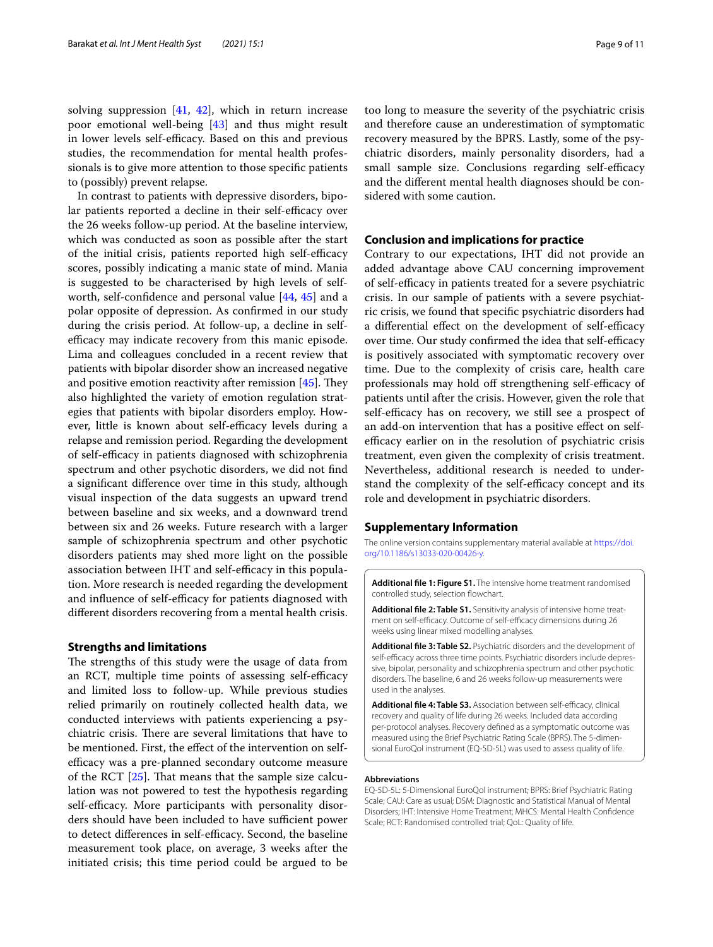solving suppression [\[41,](#page-10-13) [42\]](#page-10-14), which in return increase poor emotional well-being [[43\]](#page-10-15) and thus might result in lower levels self-efficacy. Based on this and previous studies, the recommendation for mental health professionals is to give more attention to those specifc patients to (possibly) prevent relapse.

In contrast to patients with depressive disorders, bipolar patients reported a decline in their self-efficacy over the 26 weeks follow-up period. At the baseline interview, which was conducted as soon as possible after the start of the initial crisis, patients reported high self-efficacy scores, possibly indicating a manic state of mind. Mania is suggested to be characterised by high levels of selfworth, self-confdence and personal value [\[44](#page-10-16), [45](#page-10-17)] and a polar opposite of depression. As confrmed in our study during the crisis period. At follow-up, a decline in selfefficacy may indicate recovery from this manic episode. Lima and colleagues concluded in a recent review that patients with bipolar disorder show an increased negative and positive emotion reactivity after remission  $[45]$  $[45]$ . They also highlighted the variety of emotion regulation strategies that patients with bipolar disorders employ. However, little is known about self-efficacy levels during a relapse and remission period. Regarding the development of self-efficacy in patients diagnosed with schizophrenia spectrum and other psychotic disorders, we did not fnd a signifcant diference over time in this study, although visual inspection of the data suggests an upward trend between baseline and six weeks, and a downward trend between six and 26 weeks. Future research with a larger sample of schizophrenia spectrum and other psychotic disorders patients may shed more light on the possible association between IHT and self-efficacy in this population. More research is needed regarding the development and influence of self-efficacy for patients diagnosed with diferent disorders recovering from a mental health crisis.

## **Strengths and limitations**

The strengths of this study were the usage of data from an RCT, multiple time points of assessing self-efficacy and limited loss to follow-up. While previous studies relied primarily on routinely collected health data, we conducted interviews with patients experiencing a psychiatric crisis. There are several limitations that have to be mentioned. First, the efect of the intervention on selfefficacy was a pre-planned secondary outcome measure of the RCT  $[25]$  $[25]$ . That means that the sample size calculation was not powered to test the hypothesis regarding self-efficacy. More participants with personality disorders should have been included to have sufficient power to detect differences in self-efficacy. Second, the baseline measurement took place, on average, 3 weeks after the initiated crisis; this time period could be argued to be too long to measure the severity of the psychiatric crisis and therefore cause an underestimation of symptomatic recovery measured by the BPRS. Lastly, some of the psychiatric disorders, mainly personality disorders, had a small sample size. Conclusions regarding self-efficacy and the diferent mental health diagnoses should be considered with some caution.

## **Conclusion and implications for practice**

Contrary to our expectations, IHT did not provide an added advantage above CAU concerning improvement of self-efficacy in patients treated for a severe psychiatric crisis. In our sample of patients with a severe psychiatric crisis, we found that specifc psychiatric disorders had a differential effect on the development of self-efficacy over time. Our study confirmed the idea that self-efficacy is positively associated with symptomatic recovery over time. Due to the complexity of crisis care, health care professionals may hold off strengthening self-efficacy of patients until after the crisis. However, given the role that self-efficacy has on recovery, we still see a prospect of an add-on intervention that has a positive efect on selfefficacy earlier on in the resolution of psychiatric crisis treatment, even given the complexity of crisis treatment. Nevertheless, additional research is needed to understand the complexity of the self-efficacy concept and its role and development in psychiatric disorders.

## **Supplementary Information**

The online version contains supplementary material available at [https://doi.](https://doi.org/10.1186/s13033-020-00426-y) [org/10.1186/s13033-020-00426-y.](https://doi.org/10.1186/s13033-020-00426-y)

<span id="page-8-1"></span><span id="page-8-0"></span>**Additional fle 1: Figure S1.** The intensive home treatment randomised controlled study, selection fowchart.

**Additional fle 2: Table S1.** Sensitivity analysis of intensive home treatment on self-efficacy. Outcome of self-efficacy dimensions during 26 weeks using linear mixed modelling analyses.

<span id="page-8-2"></span>**Additional fle 3: Table S2.** Psychiatric disorders and the development of self-efficacy across three time points. Psychiatric disorders include depressive, bipolar, personality and schizophrenia spectrum and other psychotic disorders. The baseline, 6 and 26 weeks follow-up measurements were used in the analyses.

<span id="page-8-3"></span>Additional file 4: Table S3. Association between self-efficacy, clinical recovery and quality of life during 26 weeks. Included data according per-protocol analyses. Recovery defned as a symptomatic outcome was measured using the Brief Psychiatric Rating Scale (BPRS). The 5-dimensional EuroQol instrument (EQ-5D-5L) was used to assess quality of life.

#### **Abbreviations**

EQ-5D-5L: 5-Dimensional EuroQol instrument; BPRS: Brief Psychiatric Rating Scale; CAU: Care as usual; DSM: Diagnostic and Statistical Manual of Mental Disorders; IHT: Intensive Home Treatment; MHCS: Mental Health Confdence Scale; RCT: Randomised controlled trial; QoL: Quality of life.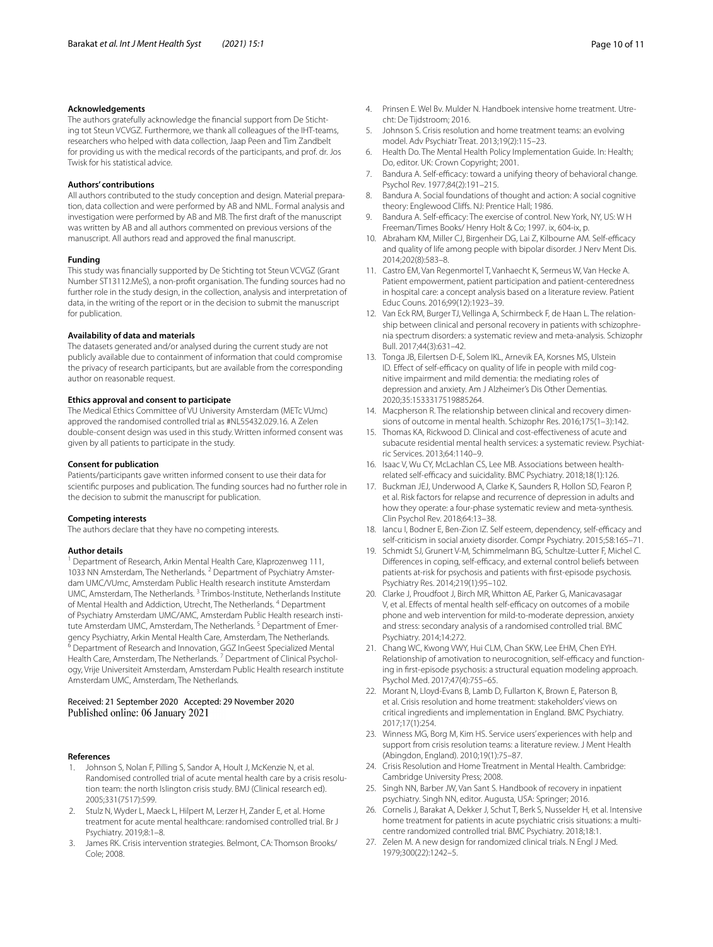#### **Acknowledgements**

The authors gratefully acknowledge the fnancial support from De Stichting tot Steun VCVGZ. Furthermore, we thank all colleagues of the IHT-teams, researchers who helped with data collection, Jaap Peen and Tim Zandbelt for providing us with the medical records of the participants, and prof. dr. Jos Twisk for his statistical advice.

#### **Authors' contributions**

All authors contributed to the study conception and design. Material preparation, data collection and were performed by AB and NML. Formal analysis and investigation were performed by AB and MB. The frst draft of the manuscript was written by AB and all authors commented on previous versions of the manuscript. All authors read and approved the fnal manuscript.

#### **Funding**

This study was fnancially supported by De Stichting tot Steun VCVGZ (Grant Number ST13112.MeS), a non-proft organisation. The funding sources had no further role in the study design, in the collection, analysis and interpretation of data, in the writing of the report or in the decision to submit the manuscript for publication.

#### **Availability of data and materials**

The datasets generated and/or analysed during the current study are not publicly available due to containment of information that could compromise the privacy of research participants, but are available from the corresponding author on reasonable request.

#### **Ethics approval and consent to participate**

The Medical Ethics Committee of VU University Amsterdam (METc VUmc) approved the randomised controlled trial as #NL55432.029.16. A Zelen double-consent design was used in this study. Written informed consent was given by all patients to participate in the study.

#### **Consent for publication**

Patients/participants gave written informed consent to use their data for scientifc purposes and publication. The funding sources had no further role in the decision to submit the manuscript for publication.

#### **Competing interests**

The authors declare that they have no competing interests.

#### **Author details**

<sup>1</sup> Department of Research, Arkin Mental Health Care, Klaprozenweg 111, 1033 NN Amsterdam, The Netherlands. <sup>2</sup> Department of Psychiatry Amsterdam UMC/VUmc, Amsterdam Public Health research institute Amsterdam UMC, Amsterdam, The Netherlands. 3 Trimbos-Institute, Netherlands Institute of Mental Health and Addiction, Utrecht, The Netherlands. 4 Department of Psychiatry Amsterdam UMC/AMC, Amsterdam Public Health research institute Amsterdam UMC, Amsterdam, The Netherlands. 5 Department of Emergency Psychiatry, Arkin Mental Health Care, Amsterdam, The Netherlands.  $^{\overline{6}}$  Department of Research and Innovation, GGZ InGeest Specialized Mental Health Care, Amsterdam, The Netherlands.<sup>7</sup> Department of Clinical Psychology, Vrije Universiteit Amsterdam, Amsterdam Public Health research institute Amsterdam UMC, Amsterdam, The Netherlands.

## Received: 21 September 2020 Accepted: 29 November 2020 Published online: 06 January 2021

#### **References**

- <span id="page-9-0"></span>Johnson S, Nolan F, Pilling S, Sandor A, Hoult J, McKenzie N, et al. Randomised controlled trial of acute mental health care by a crisis resolution team: the north Islington crisis study. BMJ (Clinical research ed). 2005;331(7517):599.
- <span id="page-9-1"></span>2. Stulz N, Wyder L, Maeck L, Hilpert M, Lerzer H, Zander E, et al. Home treatment for acute mental healthcare: randomised controlled trial. Br J Psychiatry. 2019;8:1–8.
- <span id="page-9-2"></span>3. James RK. Crisis intervention strategies. Belmont, CA: Thomson Brooks/ Cole; 2008.
- <span id="page-9-3"></span>4. Prinsen E. Wel Bv. Mulder N. Handboek intensive home treatment. Utrecht: De Tijdstroom; 2016.
- <span id="page-9-4"></span>5. Johnson S. Crisis resolution and home treatment teams: an evolving model. Adv Psychiatr Treat. 2013;19(2):115–23.
- <span id="page-9-5"></span>6. Health Do. The Mental Health Policy Implementation Guide. In: Health; Do, editor. UK: Crown Copyright; 2001.
- <span id="page-9-6"></span>7. Bandura A. Self-efficacy: toward a unifying theory of behavioral change. Psychol Rev. 1977;84(2):191–215.
- <span id="page-9-24"></span>8. Bandura A. Social foundations of thought and action: A social cognitive theory: Englewood Clifs. NJ: Prentice Hall; 1986.
- <span id="page-9-7"></span>9. Bandura A. Self-efficacy: The exercise of control. New York, NY, US: W H Freeman/Times Books/ Henry Holt & Co; 1997. ix, 604-ix, p.
- <span id="page-9-8"></span>10. Abraham KM, Miller CJ, Birgenheir DG, Lai Z, Kilbourne AM. Self-efficacy and quality of life among people with bipolar disorder. J Nerv Ment Dis. 2014;202(8):583–8.
- 11. Castro EM, Van Regenmortel T, Vanhaecht K, Sermeus W, Van Hecke A. Patient empowerment, patient participation and patient-centeredness in hospital care: a concept analysis based on a literature review. Patient Educ Couns. 2016;99(12):1923–39.
- 12. Van Eck RM, Burger TJ, Vellinga A, Schirmbeck F, de Haan L. The relationship between clinical and personal recovery in patients with schizophrenia spectrum disorders: a systematic review and meta-analysis. Schizophr Bull. 2017;44(3):631–42.
- <span id="page-9-9"></span>13. Tonga JB, Eilertsen D-E, Solem IKL, Arnevik EA, Korsnes MS, Ulstein ID. Effect of self-efficacy on quality of life in people with mild cognitive impairment and mild dementia: the mediating roles of depression and anxiety. Am J Alzheimer's Dis Other Dementias. 2020;35:1533317519885264.
- <span id="page-9-10"></span>14. Macpherson R. The relationship between clinical and recovery dimensions of outcome in mental health. Schizophr Res. 2016;175(1–3):142.
- <span id="page-9-11"></span>15. Thomas KA, Rickwood D. Clinical and cost-efectiveness of acute and subacute residential mental health services: a systematic review. Psychiatric Services. 2013;64:1140–9.
- <span id="page-9-12"></span>16. Isaac V, Wu CY, McLachlan CS, Lee MB. Associations between healthrelated self-efficacy and suicidality. BMC Psychiatry. 2018;18(1):126.
- <span id="page-9-13"></span>17. Buckman JEJ, Underwood A, Clarke K, Saunders R, Hollon SD, Fearon P, et al. Risk factors for relapse and recurrence of depression in adults and how they operate: a four-phase systematic review and meta-synthesis. Clin Psychol Rev. 2018;64:13–38.
- <span id="page-9-14"></span>18. Iancu I, Bodner E, Ben-Zion IZ. Self esteem, dependency, self-efficacy and self-criticism in social anxiety disorder. Compr Psychiatry. 2015;58:165–71.
- <span id="page-9-15"></span>19. Schmidt SJ, Grunert V-M, Schimmelmann BG, Schultze-Lutter F, Michel C. Differences in coping, self-efficacy, and external control beliefs between patients at-risk for psychosis and patients with frst-episode psychosis. Psychiatry Res. 2014;219(1):95–102.
- <span id="page-9-16"></span>20. Clarke J, Proudfoot J, Birch MR, Whitton AE, Parker G, Manicavasagar V, et al. Effects of mental health self-efficacy on outcomes of a mobile phone and web intervention for mild-to-moderate depression, anxiety and stress: secondary analysis of a randomised controlled trial. BMC Psychiatry. 2014;14:272.
- <span id="page-9-17"></span>21. Chang WC, Kwong VWY, Hui CLM, Chan SKW, Lee EHM, Chen EYH. Relationship of amotivation to neurocognition, self-efficacy and functioning in frst-episode psychosis: a structural equation modeling approach. Psychol Med. 2017;47(4):755–65.
- <span id="page-9-18"></span>22. Morant N, Lloyd-Evans B, Lamb D, Fullarton K, Brown E, Paterson B, et al. Crisis resolution and home treatment: stakeholders' views on critical ingredients and implementation in England. BMC Psychiatry. 2017;17(1):254.
- <span id="page-9-19"></span>23. Winness MG, Borg M, Kim HS. Service users' experiences with help and support from crisis resolution teams: a literature review. J Ment Health (Abingdon, England). 2010;19(1):75–87.
- <span id="page-9-20"></span>24. Crisis Resolution and Home Treatment in Mental Health. Cambridge: Cambridge University Press; 2008.
- <span id="page-9-21"></span>25. Singh NN, Barber JW, Van Sant S. Handbook of recovery in inpatient psychiatry. Singh NN, editor. Augusta, USA: Springer; 2016.
- <span id="page-9-22"></span>26. Cornelis J, Barakat A, Dekker J, Schut T, Berk S, Nusselder H, et al. Intensive home treatment for patients in acute psychiatric crisis situations: a multicentre randomized controlled trial. BMC Psychiatry. 2018;18:1.
- <span id="page-9-23"></span>27. Zelen M. A new design for randomized clinical trials. N Engl J Med. 1979;300(22):1242–5.